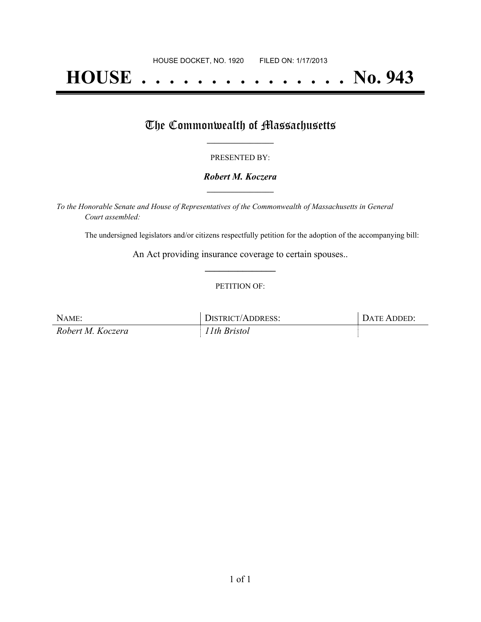# **HOUSE . . . . . . . . . . . . . . . No. 943**

## The Commonwealth of Massachusetts

#### PRESENTED BY:

#### *Robert M. Koczera* **\_\_\_\_\_\_\_\_\_\_\_\_\_\_\_\_\_**

*To the Honorable Senate and House of Representatives of the Commonwealth of Massachusetts in General Court assembled:*

The undersigned legislators and/or citizens respectfully petition for the adoption of the accompanying bill:

An Act providing insurance coverage to certain spouses.. **\_\_\_\_\_\_\_\_\_\_\_\_\_\_\_**

#### PETITION OF:

| NAME:             | DISTRICT/ADDRESS: | DATE ADDED: |
|-------------------|-------------------|-------------|
| Robert M. Koczera | 11th Bristol      |             |